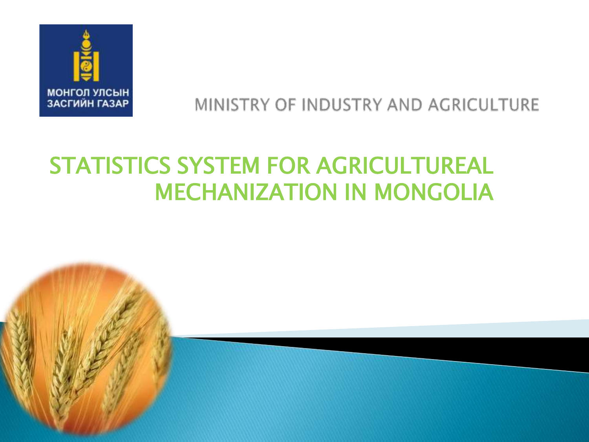

## MINISTRY OF INDUSTRY AND AGRICULTURE

# STATISTICS SYSTEM FOR AGRICULTUREAL MECHANIZATION IN MONGOLIA

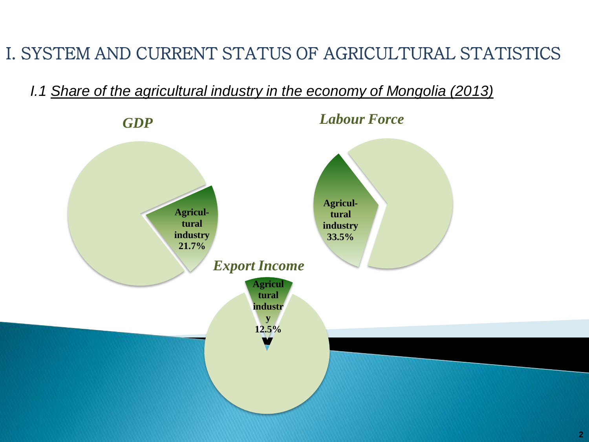# I. SYSTEM AND CURRENT STATUS OF AGRICULTURAL STATISTICS

*I.1 Share of the agricultural industry in the economy of Mongolia (2013)*

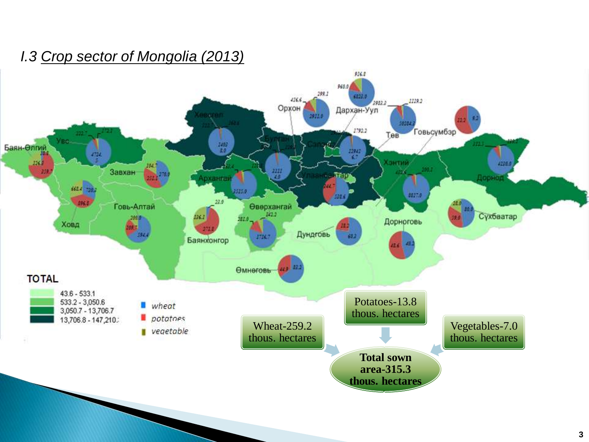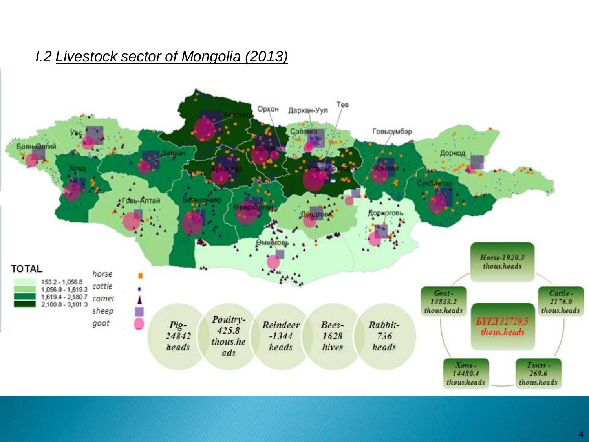#### *I.2 Livestock sector of Mongolia (2013)*

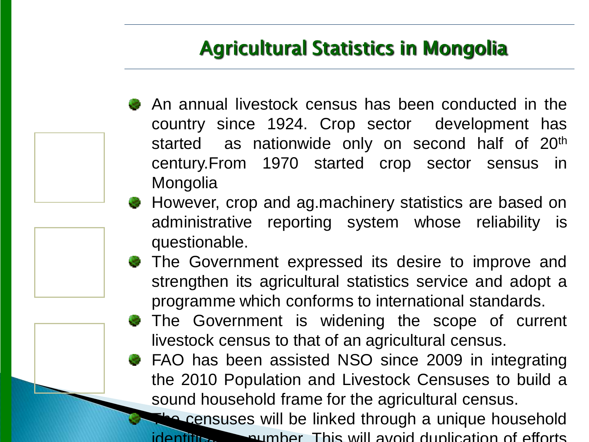# Agricultural Statistics in Mongolia

- An annual livestock census has been conducted in the country since 1924. Crop sector development has started as nationwide only on second half of 20<sup>th</sup> century.From 1970 started crop sector sensus in **Mongolia**
- However, crop and ag.machinery statistics are based on administrative reporting system whose reliability is questionable.
- **The Government expressed its desire to improve and** strengthen its agricultural statistics service and adopt a programme which conforms to international standards.
	- The Government is widening the scope of current livestock census to that of an agricultural census.
- FAO has been assisted NSO since 2009 in integrating the 2010 Population and Livestock Censuses to build a sound household frame for the agricultural census.

**The censuses will be linked through a unique household**  $\frac{1}{10}$  identification  $\frac{1}{10}$  aumber. This will avoid duplication of efforts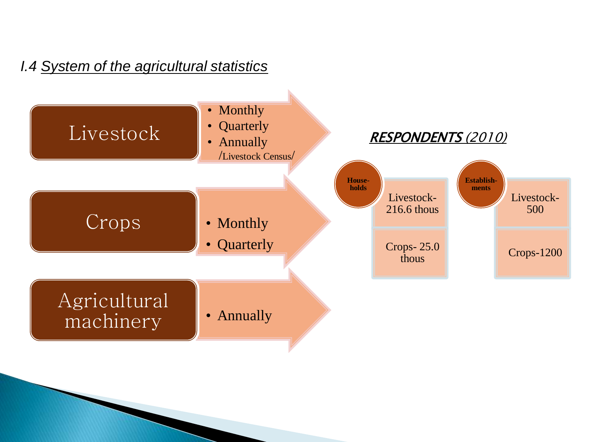#### *I.4 System of the agricultural statistics*

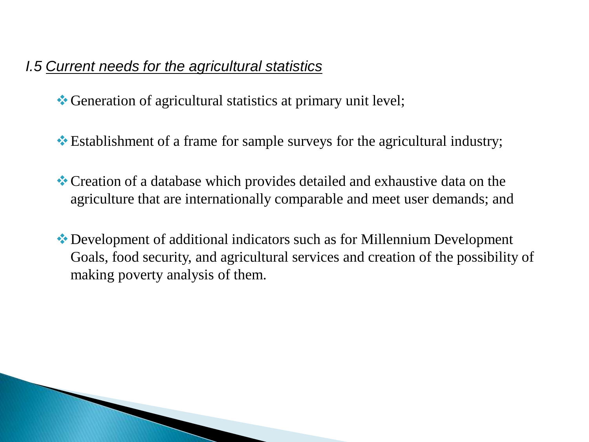#### *I.5 Current needs for the agricultural statistics*

Generation of agricultural statistics at primary unit level;

- Establishment of a frame for sample surveys for the agricultural industry;
- Creation of a database which provides detailed and exhaustive data on the agriculture that are internationally comparable and meet user demands; and
- Development of additional indicators such as for Millennium Development Goals, food security, and agricultural services and creation of the possibility of making poverty analysis of them.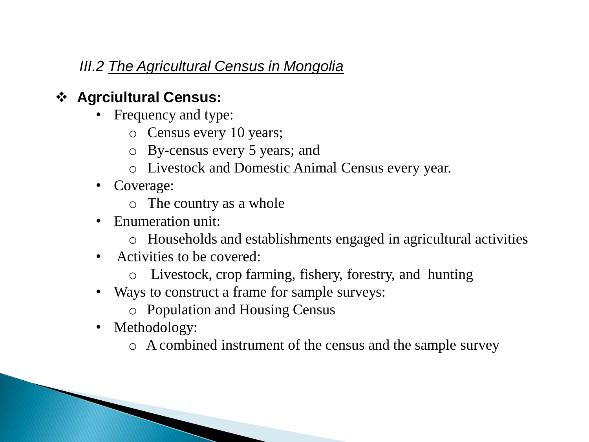#### *III.2 The Agricultural Census in Mongolia*

### **Agrciultural Census:**

- Frequency and type:
	- o Census every 10 years;
	- o By-census every 5 years; and
	- o Livestock and Domestic Animal Census every year.
- Coverage:
	- o The country as a whole
- Enumeration unit:
	- o Households and establishments engaged in agricultural activities
- Activities to be covered:
	- o Livestock, crop farming, fishery, forestry, and hunting
- Ways to construct a frame for sample surveys:
	- o Population and Housing Census
- Methodology:
	- o A combined instrument of the census and the sample survey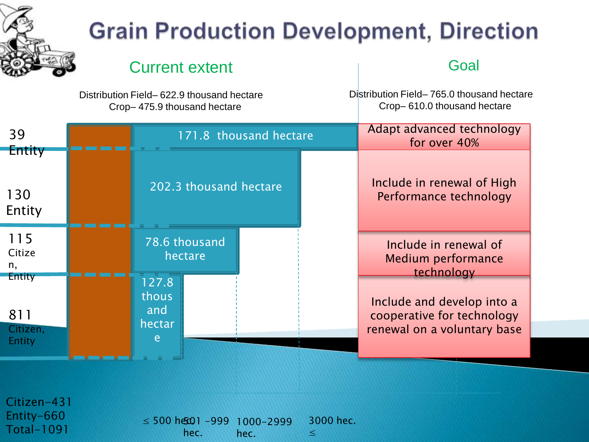

Total-1091

# **Grain Production Development, Direction**

#### Current extent Goal

Distribution Field– 622.9 thousand hectare Crop– 475.9 thousand hectare

Distribution Field– 765.0 thousand hectare Crop– 610.0 thousand hectare

| 39<br><b>Entity</b>                        |                                      |                          | 171.8 thousand hectare         | Adapt advanced technology<br>for over 40% |                                                                                         |  |  |
|--------------------------------------------|--------------------------------------|--------------------------|--------------------------------|-------------------------------------------|-----------------------------------------------------------------------------------------|--|--|
| 130<br>Entity                              |                                      | 202.3 thousand hectare   |                                |                                           | Include in renewal of High<br>Performance technology                                    |  |  |
| 115<br>Citize<br>n,                        |                                      | 78.6 thousand<br>hectare |                                |                                           | Include in renewal of<br>Medium performance<br>technology                               |  |  |
| <b>Entity</b><br>811<br>Citizen,<br>Entity | 127.8<br>thous<br>and<br>hectar<br>e |                          |                                |                                           | Include and develop into a<br>cooperative for technology<br>renewal on a voluntary base |  |  |
| Citizen-431<br>Entity-660                  |                                      |                          | $\geq$ 500 hem 1 000 1000 2000 | $3000$ hac                                |                                                                                         |  |  |

 $≤ 500$  hec01 -999 hec. 1000-2999 hec. 3000 hec. ≤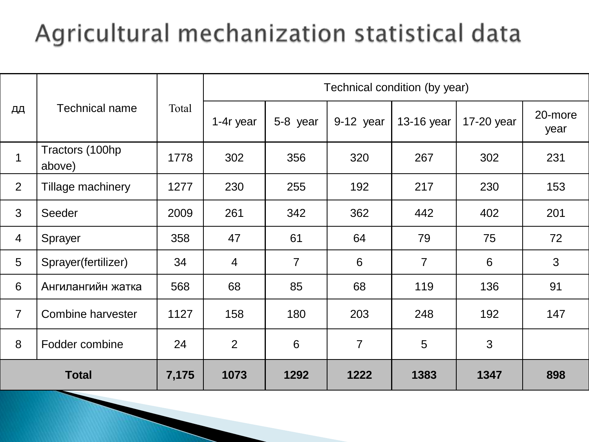# Agricultural mechanization statistical data

|                |                           | Total | Technical condition (by year) |                |                |                |            |                 |  |  |
|----------------|---------------------------|-------|-------------------------------|----------------|----------------|----------------|------------|-----------------|--|--|
| дд             | <b>Technical name</b>     |       | 1-4r year                     | 5-8 year       | 9-12 year      | 13-16 year     | 17-20 year | 20-more<br>year |  |  |
| $\mathbf{1}$   | Tractors (100hp<br>above) | 1778  | 302                           | 356            | 320            | 267            | 302        | 231             |  |  |
| $\overline{2}$ | Tillage machinery         | 1277  | 230                           | 255            | 192            | 217            | 230        | 153             |  |  |
| 3              | Seeder                    | 2009  | 261                           | 342            | 362            | 442            | 402        | 201             |  |  |
| $\overline{4}$ | Sprayer                   | 358   | 47                            | 61             | 64             | 79             | 75         | 72              |  |  |
| 5              | Sprayer(fertilizer)       | 34    | $\overline{4}$                | $\overline{7}$ | 6              | $\overline{7}$ | 6          | 3               |  |  |
| 6              | Ангилангийн жатка         | 568   | 68                            | 85             | 68             | 119            | 136        | 91              |  |  |
| $\overline{7}$ | <b>Combine harvester</b>  | 1127  | 158                           | 180            | 203            | 248            | 192        | 147             |  |  |
| 8              | Fodder combine            | 24    | 2                             | 6              | $\overline{7}$ | 5              | 3          |                 |  |  |
| <b>Total</b>   |                           | 7,175 | 1073                          | 1292           | 1222           | 1383           | 1347       | 898             |  |  |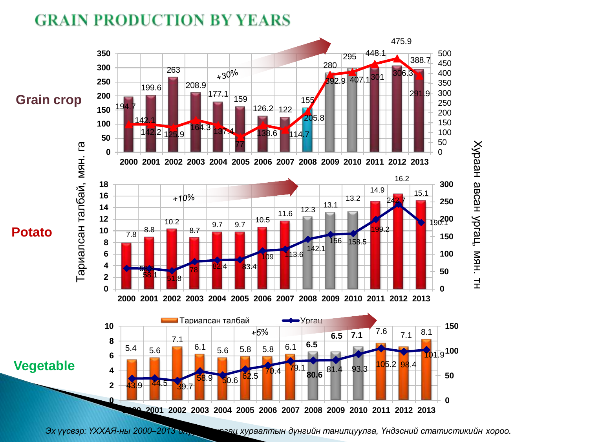#### **GRAIN PRODUCTION BY YEARS**

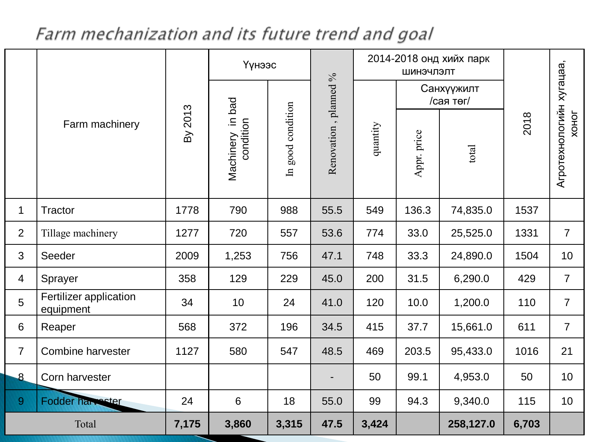# Farm mechanization and its future trend and goal

|                |                                     | By 2013 | Үүнээс                      |                   |                       | 2014-2018 онд хийх парк<br>ШИНЭЧЛЭЛТ |                         |           |       |                                          |
|----------------|-------------------------------------|---------|-----------------------------|-------------------|-----------------------|--------------------------------------|-------------------------|-----------|-------|------------------------------------------|
|                | Farm machinery                      |         |                             |                   | Renovation, planned % |                                      | Санхүүжилт<br>/сая төг/ |           |       |                                          |
|                |                                     |         | thinery in bad<br>Machinery | In good condition |                       | quantity                             | Appr. price             | total     | 2018  | Агротехнологийн хугацаа,<br><b>XOHOT</b> |
| $\mathbf 1$    | <b>Tractor</b>                      | 1778    | 790                         | 988               | 55.5                  | 549                                  | 136.3                   | 74,835.0  | 1537  |                                          |
| $\overline{2}$ | Tillage machinery                   | 1277    | 720                         | 557               | 53.6                  | 774                                  | 33.0                    | 25,525.0  | 1331  | $\overline{7}$                           |
| 3              | Seeder                              | 2009    | 1,253                       | 756               | 47.1                  | 748                                  | 33.3                    | 24,890.0  | 1504  | 10                                       |
| $\overline{4}$ | Sprayer                             | 358     | 129                         | 229               | 45.0                  | 200                                  | 31.5                    | 6,290.0   | 429   | $\overline{7}$                           |
| 5              | Fertilizer application<br>equipment | 34      | 10                          | 24                | 41.0                  | 120                                  | 10.0                    | 1,200.0   | 110   | $\overline{7}$                           |
| 6              | Reaper                              | 568     | 372                         | 196               | 34.5                  | 415                                  | 37.7                    | 15,661.0  | 611   | $\overline{7}$                           |
| $\overline{7}$ | <b>Combine harvester</b>            | 1127    | 580                         | 547               | 48.5                  | 469                                  | 203.5                   | 95,433.0  | 1016  | 21                                       |
| $\mathbf{8}$   | Corn harvester                      |         |                             |                   |                       | 50                                   | 99.1                    | 4,953.0   | 50    | 10                                       |
| 9              | Fodder harvester                    | 24      | $6\phantom{1}$              | 18                | 55.0                  | 99                                   | 94.3                    | 9,340.0   | 115   | 10                                       |
| Total          |                                     | 7,175   | 3,860                       | 3,315             | 47.5                  | 3,424                                |                         | 258,127.0 | 6,703 |                                          |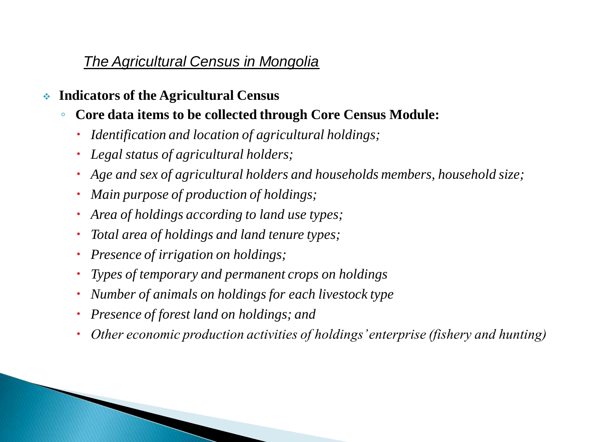#### *The Agricultural Census in Mongolia*

- **Indicators of the Agricultural Census**
	- **Core data items to be collected through Core Census Module:**
		- *Identification and location of agricultural holdings;*
		- *Legal status of agricultural holders;*
		- *Age and sex of agricultural holders and households members, household size;*
		- *Main purpose of production of holdings;*
		- *Area of holdings according to land use types;*
		- *Total area of holdings and land tenure types;*
		- *Presence of irrigation on holdings;*
		- *Types of temporary and permanent crops on holdings*
		- *Number of animals on holdings for each livestock type*
		- *Presence of forest land on holdings; and*
		- *Other economic production activities of holdings' enterprise (fishery and hunting)*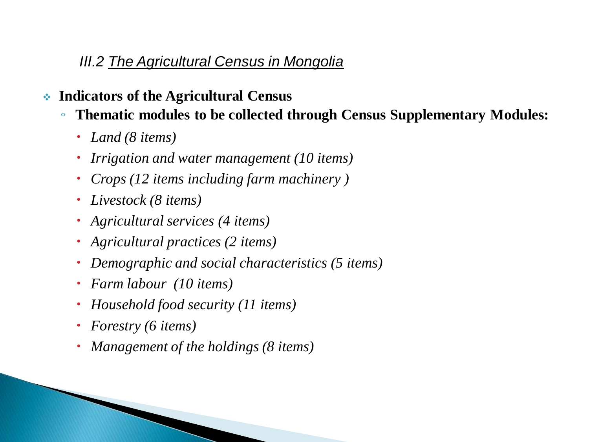#### *III.2 The Agricultural Census in Mongolia*

- **Indicators of the Agricultural Census**
	- **Thematic modules to be collected through Census Supplementary Modules:**
		- *Land (8 items)*
		- *Irrigation and water management (10 items)*
		- *Crops (12 items including farm machinery )*
		- *Livestock (8 items)*
		- *Agricultural services (4 items)*
		- *Agricultural practices (2 items)*
		- *Demographic and social characteristics (5 items)*
		- *Farm labour (10 items)*
		- *Household food security (11 items)*
		- *Forestry (6 items)*
		- *Management of the holdings (8 items)*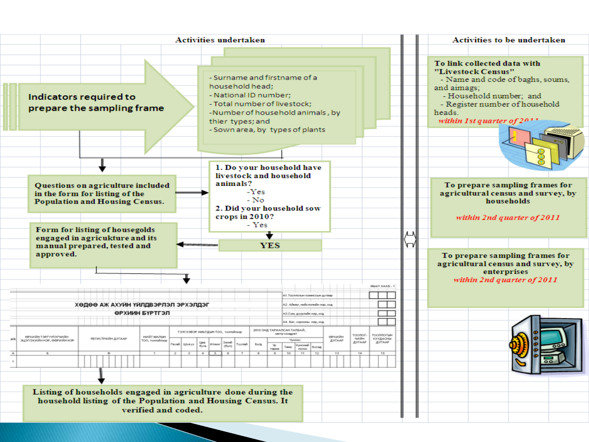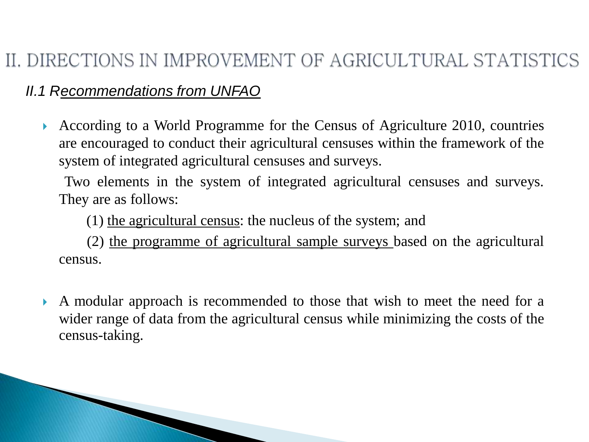# II. DIRECTIONS IN IMPROVEMENT OF AGRICULTURAL STATISTICS

*II.1 Recommendations from UNFAO*

 According to a World Programme for the Census of Agriculture 2010, countries are encouraged to conduct their agricultural censuses within the framework of the system of integrated agricultural censuses and surveys.

 Two elements in the system of integrated agricultural censuses and surveys. They are as follows:

(1) the agricultural census: the nucleus of the system; and

 (2) the programme of agricultural sample surveys based on the agricultural census.

 A modular approach is recommended to those that wish to meet the need for a wider range of data from the agricultural census while minimizing the costs of the census-taking.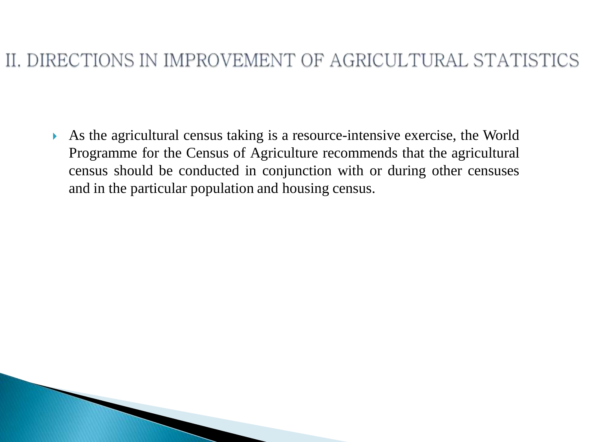## II. DIRECTIONS IN IMPROVEMENT OF AGRICULTURAL STATISTICS

 As the agricultural census taking is a resource-intensive exercise, the World Programme for the Census of Agriculture recommends that the agricultural census should be conducted in conjunction with or during other censuses and in the particular population and housing census.